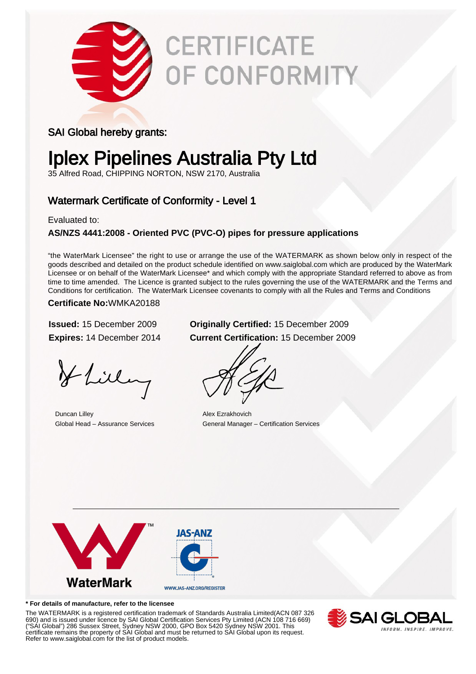

# **CERTIFICATE** OF CONFORMITY

### SAI Global hereby grants:

## Iplex Pipelines Australia Pty Ltd

35 Alfred Road, CHIPPING NORTON, NSW 2170, Australia

### Watermark Certificate of Conformity - Level 1

Evaluated to:

### **AS/NZS 4441:2008 - Oriented PVC (PVC-O) pipes for pressure applications**

"the WaterMark Licensee" the right to use or arrange the use of the WATERMARK as shown below only in respect of the goods described and detailed on the product schedule identified on www.saiglobal.com which are produced by the WaterMark Licensee or on behalf of the WaterMark Licensee\* and which comply with the appropriate Standard referred to above as from time to time amended. The Licence is granted subject to the rules governing the use of the WATERMARK and the Terms and Conditions for certification. The WaterMark Licensee covenants to comply with all the Rules and Terms and Conditions

#### **Certificate No:**WMKA20188

Hlilling

**Duncan Lilley Alex Ezrakhovich** 

### **Issued:** 15 December 2009 **Originally Certified:** 15 December 2009 **Expires:** 14 December 2014 **Current Certification:** 15 December 2009

Global Head – Assurance Services General Manager – Certification Services



#### **\* For details of manufacture, refer to the licensee**

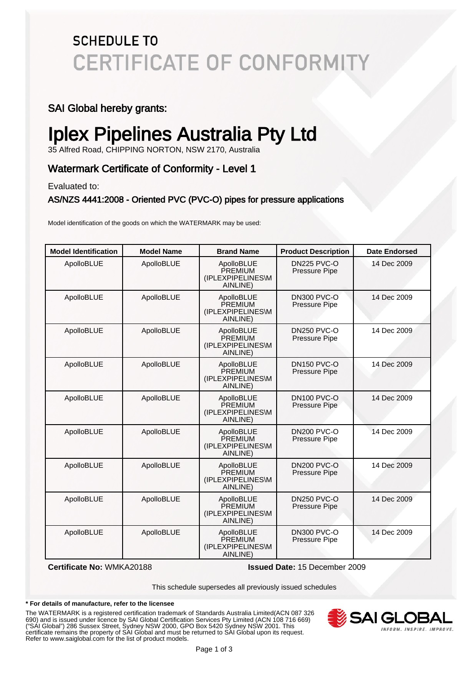## **SCHEDULE TO CERTIFICATE OF CONFORMITY**

### SAI Global hereby grants:

## Iplex Pipelines Australia Pty Ltd

35 Alfred Road, CHIPPING NORTON, NSW 2170, Australia

### Watermark Certificate of Conformity - Level 1

Evaluated to:

#### AS/NZS 4441:2008 - Oriented PVC (PVC-O) pipes for pressure applications

Model identification of the goods on which the WATERMARK may be used:

| <b>Model Identification</b> | <b>Model Name</b> | <b>Brand Name</b>                                      | <b>Product Description</b>                 | <b>Date Endorsed</b> |
|-----------------------------|-------------------|--------------------------------------------------------|--------------------------------------------|----------------------|
| ApolloBLUE                  | ApolloBLUE        | ApolloBLUE<br>PREMIUM<br>(IPLEXPIPELINES\M<br>AINLINE) | <b>DN225 PVC-O</b><br>Pressure Pipe        | 14 Dec 2009          |
| ApolloBLUE                  | ApolloBLUE        | ApolloBLUE<br>PREMIUM<br>(IPLEXPIPELINES\M<br>AINLINE) | DN300 PVC-O<br>Pressure Pipe               | 14 Dec 2009          |
| ApolloBLUE                  | ApolloBLUE        | ApolloBLUE<br>PREMIUM<br>(IPLEXPIPELINES\M<br>AINLINE) | <b>DN250 PVC-O</b><br><b>Pressure Pipe</b> | 14 Dec 2009          |
| ApolloBLUE                  | ApolloBLUE        | ApolloBLUE<br>PREMIUM<br>(IPLEXPIPELINES\M<br>AINLINE) | <b>DN150 PVC-O</b><br>Pressure Pipe        | 14 Dec 2009          |
| ApolloBLUE                  | ApolloBLUE        | ApolloBLUE<br>PREMIUM<br>(IPLEXPIPELINES\M<br>AINLINE) | <b>DN100 PVC-O</b><br>Pressure Pipe        | 14 Dec 2009          |
| ApolloBLUE                  | ApolloBLUE        | ApolloBLUE<br>PREMIUM<br>(IPLEXPIPELINES\M<br>AINLINE) | <b>DN200 PVC-O</b><br>Pressure Pipe        | 14 Dec 2009          |
| ApolloBLUE                  | ApolloBLUE        | ApolloBLUE<br>PREMIUM<br>(IPLEXPIPELINES\M<br>AINLINE) | <b>DN200 PVC-O</b><br><b>Pressure Pipe</b> | 14 Dec 2009          |
| ApolloBLUE                  | ApolloBLUE        | ApolloBLUE<br>PREMIUM<br>(IPLEXPIPELINES\M<br>AINLINE) | <b>DN250 PVC-O</b><br>Pressure Pipe        | 14 Dec 2009          |
| ApolloBLUE                  | ApolloBLUE        | ApolloBLUE<br>PREMIUM<br>(IPLEXPIPELINES\M<br>AINLINE) | <b>DN300 PVC-O</b><br><b>Pressure Pipe</b> | 14 Dec 2009          |

**Certificate No:** WMKA20188 **Issued Date:** 15 December 2009

This schedule supersedes all previously issued schedules

#### **\* For details of manufacture, refer to the licensee**

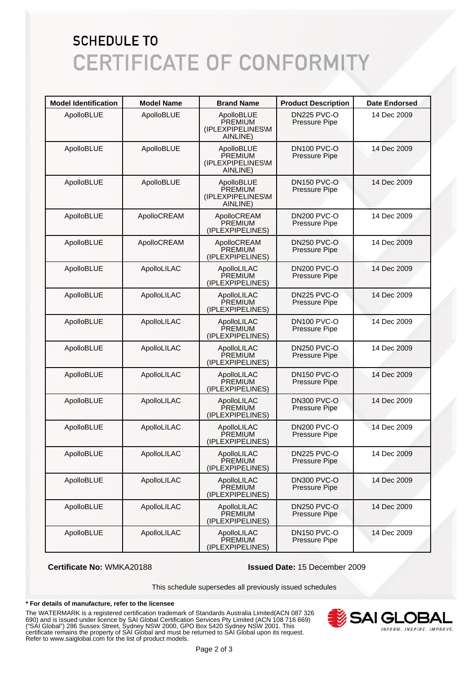## **SCHEDULE TO CERTIFICATE OF CONFORMITY**

| <b>Model Identification</b> | <b>Model Name</b> | <b>Brand Name</b>                                      | <b>Product Description</b>                 | Date Endorsed |
|-----------------------------|-------------------|--------------------------------------------------------|--------------------------------------------|---------------|
| ApolloBLUE                  | ApolloBLUE        | ApolloBLUE<br>PREMIUM<br>(IPLEXPIPELINES\M<br>AINLINE) | DN225 PVC-O<br>Pressure Pipe               | 14 Dec 2009   |
| ApolloBLUE                  | ApolloBLUE        | ApolloBLUE<br>PREMIUM<br>(IPLEXPIPELINES\M<br>AINLINE) | <b>DN100 PVC-O</b><br>Pressure Pipe        | 14 Dec 2009   |
| ApolloBLUE                  | ApolloBLUE        | ApolloBLUE<br>PREMIUM<br>(IPLEXPIPELINES\M<br>AINLINE) | <b>DN150 PVC-O</b><br>Pressure Pipe        | 14 Dec 2009   |
| ApolloBLUE                  | ApolloCREAM       | ApolloCREAM<br><b>PREMIUM</b><br>(IPLEXPIPELINES)      | DN200 PVC-O<br>Pressure Pipe               | 14 Dec 2009   |
| ApolloBLUE                  | ApolloCREAM       | ApolloCREAM<br>PREMIUM<br>(IPLEXPIPELINES)             | <b>DN250 PVC-O</b><br>Pressure Pipe        | 14 Dec 2009   |
| ApolloBLUE                  | ApolloLILAC       | ApolloLILAC<br>PREMIUM<br>(IPLEXPIPELINES)             | <b>DN200 PVC-O</b><br>Pressure Pipe        | 14 Dec 2009   |
| ApolloBLUE                  | ApolloLILAC       | ApolloLILAC<br>PREMIUM<br>(IPLEXPIPELINES)             | <b>DN225 PVC-O</b><br><b>Pressure Pipe</b> | 14 Dec 2009   |
| ApolloBLUE                  | ApolloLILAC       | ApolloLILAC<br>PREMIUM<br>(IPLEXPIPELINES)             | DN100 PVC-O<br>Pressure Pipe               | 14 Dec 2009   |
| ApolloBLUE                  | ApolloLILAC       | ApolloLILAC<br>PREMIUM<br>(IPLEXPIPELINES)             | <b>DN250 PVC-O</b><br>Pressure Pipe        | 14 Dec 2009   |
| ApolloBLUE                  | ApolloLILAC       | ApolloLILAC<br>PREMIUM<br>(IPLEXPIPELINES)             | <b>DN150 PVC-O</b><br>Pressure Pipe        | 14 Dec 2009   |
| ApolloBLUE                  | ApolloLILAC       | ApolloLILAC<br>PREMIUM<br>(IPLEXPIPELINES)             | DN300 PVC-O<br>Pressure Pipe               | 14 Dec 2009   |
| ApolloBLUE                  | ApolloLILAC       | ApolloLILAC<br>PREMIUM<br>(IPLEXPIPELINES)             | <b>DN200 PVC-O</b><br>Pressure Pipe        | 14 Dec 2009   |
| ApolloBLUE                  | ApolloLILAC       | ApolloLILAC<br><b>PREMIUM</b><br>(IPLEXPIPELINES)      | DN225 PVC-O<br>Pressure Pipe               | 14 Dec 2009   |
| ApolloBLUE                  | ApolloLILAC       | ApolloLILAC<br>PREMIUM<br>(IPLEXPIPELINES)             | DN300 PVC-O<br>Pressure Pipe               | 14 Dec 2009   |
| ApolloBLUE                  | ApolloLILAC       | ApolloLILAC<br>PREMIUM<br>(IPLEXPIPELINES)             | <b>DN250 PVC-O</b><br>Pressure Pipe        | 14 Dec 2009   |
| ApolloBLUE                  | ApolloLILAC       | ApolloLILAC<br>PREMIUM<br>(IPLEXPIPELINES)             | <b>DN150 PVC-O</b><br>Pressure Pipe        | 14 Dec 2009   |

**Certificate No:** WMKA20188 **Issued Date:** 15 December 2009

This schedule supersedes all previously issued schedules

#### **\* For details of manufacture, refer to the licensee**